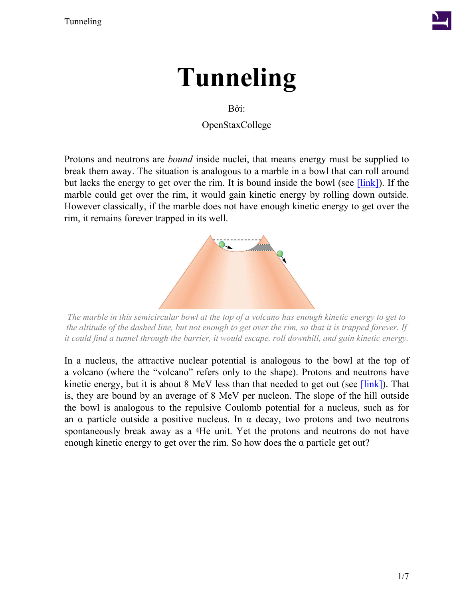

## Bởi:

## OpenStaxCollege

Protons and neutrons are *bound* inside nuclei, that means energy must be supplied to break them away. The situation is analogous to a marble in a bowl that can roll around but lacks the energy to get over the rim. It is bound inside the bowl (see [\[link\]](#page-0-0)). If the marble could get over the rim, it would gain kinetic energy by rolling down outside. However classically, if the marble does not have enough kinetic energy to get over the rim, it remains forever trapped in its well.

<span id="page-0-0"></span>

*The marble in this semicircular bowl at the top of a volcano has enough kinetic energy to get to the altitude of the dashed line, but not enough to get over the rim, so that it is trapped forever. If it could find a tunnel through the barrier, it would escape, roll downhill, and gain kinetic energy.*

In a nucleus, the attractive nuclear potential is analogous to the bowl at the top of a volcano (where the "volcano" refers only to the shape). Protons and neutrons have kinetic energy, but it is about 8 MeV less than that needed to get out (see [\[link\]\)](#page-1-0). That is, they are bound by an average of 8 MeV per nucleon. The slope of the hill outside the bowl is analogous to the repulsive Coulomb potential for a nucleus, such as for an  $\alpha$  particle outside a positive nucleus. In  $\alpha$  decay, two protons and two neutrons spontaneously break away as a 4He unit. Yet the protons and neutrons do not have enough kinetic energy to get over the rim. So how does the  $\alpha$  particle get out?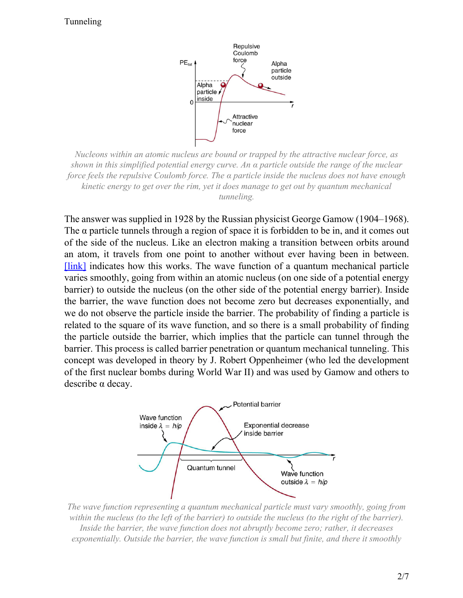

<span id="page-1-0"></span>*Nucleons within an atomic nucleus are bound or trapped by the attractive nuclear force, as shown in this simplified potential energy curve. An α particle outside the range of the nuclear force feels the repulsive Coulomb force. The α particle inside the nucleus does not have enough kinetic energy to get over the rim, yet it does manage to get out by quantum mechanical tunneling.*

The answer was supplied in 1928 by the Russian physicist George Gamow (1904–1968). The  $\alpha$  particle tunnels through a region of space it is forbidden to be in, and it comes out of the side of the nucleus. Like an electron making a transition between orbits around an atom, it travels from one point to another without ever having been in between. [\[link\]](#page-1-1) indicates how this works. The wave function of a quantum mechanical particle varies smoothly, going from within an atomic nucleus (on one side of a potential energy barrier) to outside the nucleus (on the other side of the potential energy barrier). Inside the barrier, the wave function does not become zero but decreases exponentially, and we do not observe the particle inside the barrier. The probability of finding a particle is related to the square of its wave function, and so there is a small probability of finding the particle outside the barrier, which implies that the particle can tunnel through the barrier. This process is called barrier penetration or quantum mechanical tunneling. This concept was developed in theory by J. Robert Oppenheimer (who led the development of the first nuclear bombs during World War II) and was used by Gamow and others to describe α decay.



<span id="page-1-1"></span>*The wave function representing a quantum mechanical particle must vary smoothly, going from within the nucleus (to the left of the barrier) to outside the nucleus (to the right of the barrier). Inside the barrier, the wave function does not abruptly become zero; rather, it decreases exponentially. Outside the barrier, the wave function is small but finite, and there it smoothly*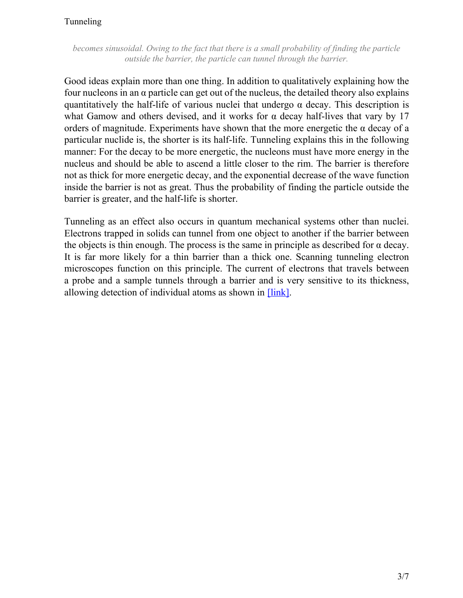*becomes sinusoidal. Owing to the fact that there is a small probability of finding the particle outside the barrier, the particle can tunnel through the barrier.*

Good ideas explain more than one thing. In addition to qualitatively explaining how the four nucleons in an α particle can get out of the nucleus, the detailed theory also explains quantitatively the half-life of various nuclei that undergo  $\alpha$  decay. This description is what Gamow and others devised, and it works for  $\alpha$  decay half-lives that vary by 17 orders of magnitude. Experiments have shown that the more energetic the  $\alpha$  decay of a particular nuclide is, the shorter is its half-life. Tunneling explains this in the following manner: For the decay to be more energetic, the nucleons must have more energy in the nucleus and should be able to ascend a little closer to the rim. The barrier is therefore not as thick for more energetic decay, and the exponential decrease of the wave function inside the barrier is not as great. Thus the probability of finding the particle outside the barrier is greater, and the half-life is shorter.

Tunneling as an effect also occurs in quantum mechanical systems other than nuclei. Electrons trapped in solids can tunnel from one object to another if the barrier between the objects is thin enough. The process is the same in principle as described for  $\alpha$  decay. It is far more likely for a thin barrier than a thick one. Scanning tunneling electron microscopes function on this principle. The current of electrons that travels between a probe and a sample tunnels through a barrier and is very sensitive to its thickness, allowing detection of individual atoms as shown in [\[link\].](#page-3-0)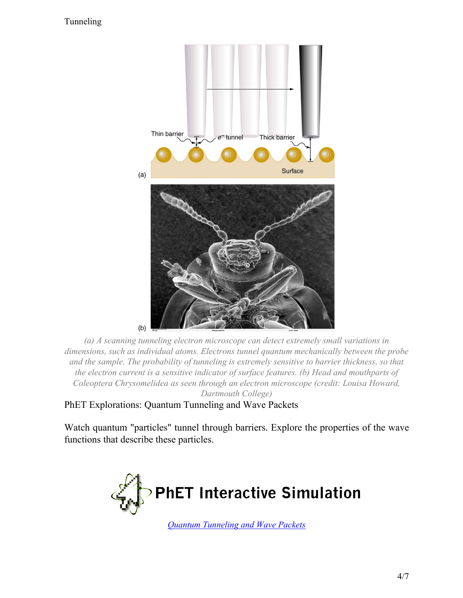<span id="page-3-0"></span>

*(a) A scanning tunneling electron microscope can detect extremely small variations in dimensions, such as individual atoms. Electrons tunnel quantum mechanically between the probe and the sample. The probability of tunneling is extremely sensitive to barrier thickness, so that the electron current is a sensitive indicator of surface features. (b) Head and mouthparts of Coleoptera Chrysomelidea as seen through an electron microscope (credit: Louisa Howard, Dartmouth College)*

PhET Explorations: Quantum Tunneling and Wave Packets

Watch quantum "particles" tunnel through barriers. Explore the properties of the wave functions that describe these particles.



*[Quantum Tunneling and Wave Packets](/home/voer/vp/vp.transformer/src/vpt.transformer/vpt/transformer/transforms/20140124-081441-343f6ca6-1/quantum-tunneling_en.jar)*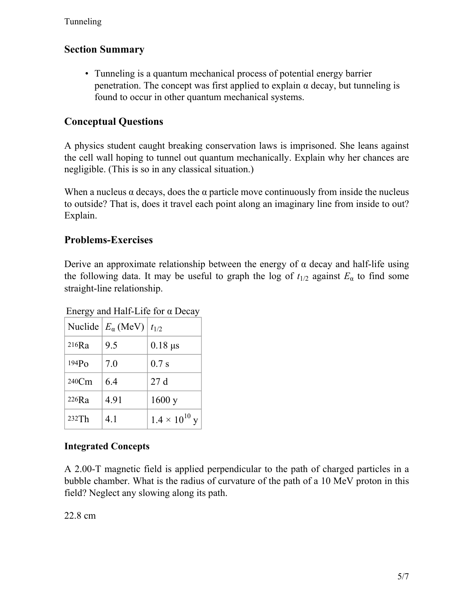## **Section Summary**

• Tunneling is a quantum mechanical process of potential energy barrier penetration. The concept was first applied to explain  $\alpha$  decay, but tunneling is found to occur in other quantum mechanical systems.

## **Conceptual Questions**

A physics student caught breaking conservation laws is imprisoned. She leans against the cell wall hoping to tunnel out quantum mechanically. Explain why her chances are negligible. (This is so in any classical situation.)

When a nucleus  $\alpha$  decays, does the  $\alpha$  particle move continuously from inside the nucleus to outside? That is, does it travel each point along an imaginary line from inside to out? Explain.

## **Problems-Exercises**

Derive an approximate relationship between the energy of  $\alpha$  decay and half-life using the following data. It may be useful to graph the log of  $t_{1/2}$  against  $E_\alpha$  to find some straight-line relationship.

|                   | Nuclide $E_{\alpha}$ (MeV) | $t_{1/2}$              |
|-------------------|----------------------------|------------------------|
| 216Ra             | 9.5                        | $0.18 \mu s$           |
| 194P <sub>O</sub> | 7.0                        | 0.7s                   |
| 240Cm             | 6.4                        | 27d                    |
| 226Ra             | 4.91                       | 1600y                  |
| 232Th             | 4.1                        | $1.4 \times 10^{10}$ y |

Energy and Half-Life for α Decay

## **Integrated Concepts**

A 2.00-T magnetic field is applied perpendicular to the path of charged particles in a bubble chamber. What is the radius of curvature of the path of a 10 MeV proton in this field? Neglect any slowing along its path.

22.8 cm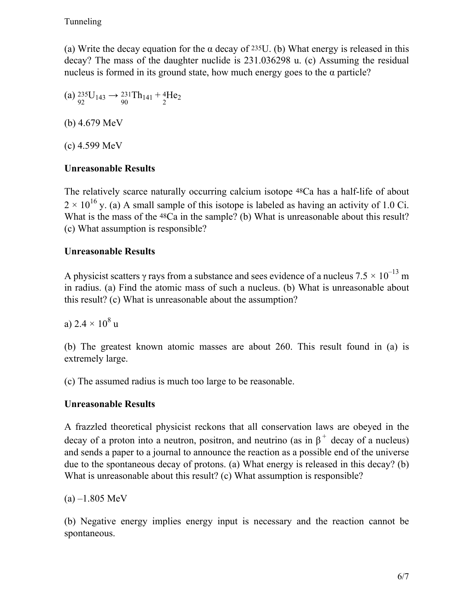(a) Write the decay equation for the  $\alpha$  decay of <sup>235</sup>U. (b) What energy is released in this decay? The mass of the daughter nuclide is 231.036298 u. (c) Assuming the residual nucleus is formed in its ground state, how much energy goes to the  $\alpha$  particle?

(a) 
$$
{}_{92}^{235}
$$
U<sub>143</sub>  $\rightarrow$   ${}_{90}^{231}$ Th<sub>141</sub> +  ${}_{2}^{4}$ He<sub>2</sub>

(b) 4.679 MeV

(c) 4.599 MeV

## **Unreasonable Results**

The relatively scarce naturally occurring calcium isotope 48Ca has a half-life of about  $2 \times 10^{16}$  y. (a) A small sample of this isotope is labeled as having an activity of 1.0 Ci. What is the mass of the <sup>48</sup>Ca in the sample? (b) What is unreasonable about this result? (c) What assumption is responsible?

## **Unreasonable Results**

A physicist scatters  $\gamma$  rays from a substance and sees evidence of a nucleus 7.5  $\times$  10<sup>-13</sup> m in radius. (a) Find the atomic mass of such a nucleus. (b) What is unreasonable about this result? (c) What is unreasonable about the assumption?

a) 2.4  $\times$  10<sup>8</sup> u

(b) The greatest known atomic masses are about 260. This result found in (a) is extremely large.

(c) The assumed radius is much too large to be reasonable.

## **Unreasonable Results**

A frazzled theoretical physicist reckons that all conservation laws are obeyed in the decay of a proton into a neutron, positron, and neutrino (as in  $\beta^+$  decay of a nucleus) and sends a paper to a journal to announce the reaction as a possible end of the universe due to the spontaneous decay of protons. (a) What energy is released in this decay? (b) What is unreasonable about this result? (c) What assumption is responsible?

 $(a) -1.805$  MeV

(b) Negative energy implies energy input is necessary and the reaction cannot be spontaneous.